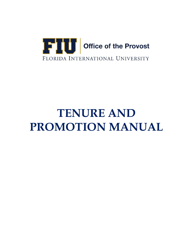

# **TENURE AND PROMOTION MANUAL**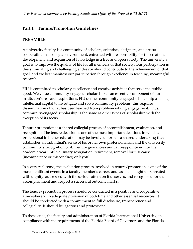# **Part I: Tenure/Promotion Guidelines**

## **PREAMBLE:**

A university faculty is a community of scholars, scientists, designers, and artists cooperating in a collegial environment, entrusted with responsibility for the creation, development, and expansion of knowledge in a free and open society. The university's goal is to improve the quality of life for all members of that society. Our participation in this stimulating and challenging endeavor should contribute to the achievement of that goal, and we best manifest our participation through excellence in teaching, meaningful research.

FIU is committed to scholarly excellence and creative activities that serve the public good. We value community-engaged scholarship as an essential component of our institution's research aspirations. FIU defines community-engaged scholarship as using intellectual capital to investigate and solve community problems; this requires dissemination of what has been learned from problem-solving engagement. Thus, community-engaged scholarship is the same as other types of scholarship with the exception of its focus.

Tenure/promotion is a shared collegial process of accomplishment, evaluation, and recognition. The tenure decision is one of the most important decisions in which a professional in higher education may be involved, for it is a shared undertaking that establishes an individual's sense of his or her own professionalism and the university community's recognition of it. Tenure guarantees annual reappointment for the academic year until voluntary resignation, retirement, removal for just cause (incompetence or misconduct) or layoff.

In a very real sense, the evaluation process involved in tenure/promotion is one of the most significant events in a faculty member's career, and, as such, ought to be treated with dignity, addressed with the serious attention it deserves, and recognized for the accomplishment and respect a successful outcome marks.

The tenure/promotion process should be conducted in a positive and cooperative atmosphere with adequate provision of both time and other essential resources. It should be conducted with a commitment to full disclosure, transparency and collegiality. It should be rigorous and professional.

To these ends, the faculty and administration of Florida International University, in compliance with the requirements of the Florida Board of Governors and the Florida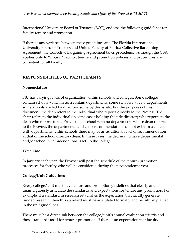International University Board of Trustees (BOT), endorse the following guidelines for faculty tenure and promotion.

If there is any variance between these guidelines and The Florida International University Board of Trustees and United Faculty of Florida Collective Bargaining Agreement, the Collective Bargaining Agreement takes precedence. Although the CBA applies only to "in-unit" faculty, tenure and promotion policies and procedures are consistent for all faculty.

#### **RESPONSIBILITIES OF PARTICIPANTS**

#### **Nomenclature**

FIU has varying levels of organization within schools and colleges. Some colleges contain schools which in turn contain departments, some schools have no departments, some schools are led by directors, some by deans, etc. For the purposes of this document, the dean refers to the individual who reports directly to the Provost. The chair refers to the individual (in some cases holding the title director) who reports to the dean who reports to the Provost. In a school with no departments whose dean reports to the Provost, the departmental and chair recommendations do not exist. In a college with departments within schools there may be an additional level of recommendation at that of the school director/dean. In these cases, the decision to have departmental and/or school recommendations is left to the college.

#### **Time Line**

In January each year, the Provost will post the schedule of the tenure/promotion processes for faculty who will be considered during the next academic year.

#### **College/Unit Guidelines**

Every college/unit must have tenure and promotion guidelines that clearly and unambiguously articulate the standards and expectations for tenure and promotion. For example, if a standard in research establishes the expectation that faculty generate funded research, then this standard must be articulated formally and be fully explained in the unit guidelines.

There must be a direct link between the college/unit's annual evaluation criteria and those standards used for tenure/promotion. If there is an expectation that faculty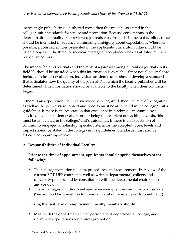increasingly publish single-authored work, then this must be so stated in the college/unit's standards for tenure and promotion. Because conventions in the determination of quality peer reviewed journals vary from discipline to discipline, these should be identified in advance, minimizing ambiguity about expectations. Wherever possible, published articles presented in the applicants' curriculum vitae should be listed along with the three to five-year average of acceptance rates, as attested by their respective editors.

The impact factor of journals and the rank of a journal among all ranked journals in its field(s), should be included when this information is available. Since not all journals are included in impact evaluation, individual academic units should develop a standard that articulates how the quality of the journal(s) in which the faculty publishes will be determined. This information should be available to the faculty when their contracts begin.

If there is an expectation that creative work be recognized, then the level of recognition as well as the peer-review context and process must be articulated in the college/unit's guidelines. If there is an expectation that excellence in teaching is measured by a specified level of student evaluations, or being the recipient of teaching awards, this must be articulated in the college/unit's guidelines. If there is an expectation of community-engaged scholarship, specific criteria for the accepted types, levels and impact should be stated in the college/unit's guidelines. Standards must also be articulated regarding service.

#### **A. Responsibilities of Individual Faculty:**

#### **Prior to the time of appointment, applicants should apprise themselves of the following:**

- The tenure/promotion policies, procedures, and requirements by review of the current BOT-UFF contract as well as written departmental, college, and university policies, and by consultation with the departmental chairperson and/or dean.
- The advantages and disadvantages of receiving tenure credit for prior service (See Section H—Guidelines for Tenure Credit or Tenure upon Appointment.)

#### **During the first term of employment, faculty members should:**

• Meet with the departmental chairperson about departmental, college, and university expectations for tenure/promotion.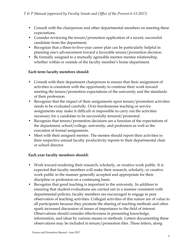- Consult with the chairperson and other departmental members on meeting these expectations.
- Consider reviewing the tenure/promotion application of a recent, successful candidate from the department.
- Recognize that a three-to-five-year career plan can be particularly helpful in planning one's advancement toward a favorable tenure/promotion decision.
- Be formally assigned to a mutually agreeable mentor-mentee relationship, whether within or outside of the faculty member's home department.

#### **Each term faculty members should:**

- Consult with their department chairperson to ensure that their assignment of activities is consistent with the opportunity to continue their work toward meeting the tenure/promotion expectations of the university and the standards of their profession.
- Recognize that the impact of their assignments upon tenure/promotion activities needs to be evaluated carefully. Over-burdensome teaching or service assignments may make it difficult or impossible to carry out the activities necessary for a candidate to be successfully tenured/promoted.
- Recognize that tenure/promotion decisions are a function of the expectations of the department, school/college, university, and profession as well as the execution of formal assignments.
- Meet with their assigned mentor. The mentee should report their activities in their respective annual faculty productivity reports to their departmental chair or school director.

#### **Each year faculty members should:**

- Work toward rendering their research, scholarly, or creative work public. It is expected that faculty members will make their research, scholarly, or creative work public in the manner generally accepted and appropriate for their discipline or profession on a continuing basis.
- Recognize that good teaching is important to the university. In addition to ensuring that student evaluations are carried out in a manner consistent with departmental policies, faculty members are encouraged to engage in peer observation of teaching activities. Collegial activities of this nature are of value to all participants because they promote the sharing of teaching methods and often spark increased discussion of issues of importance to the field of interest. Observations should consider effectiveness in presenting knowledge, information, and ideas by various means or methods. Letters documenting these observations may be included in tenure/promotion files. These letters, along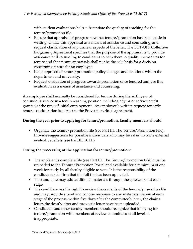with student evaluations help substantiate the quality of teaching for the tenure/promotion file.

- Ensure that appraisal of progress towards tenure/promotion has been made in writing. Utilize this appraisal as a means of assistance and counseling, and request clarification of any unclear aspects of the letter. The BOT-UFF Collective Bargaining Agreement specifies that the purpose of the appraisal is to provide assistance and counseling to candidates to help them to qualify themselves for tenure and that tenure appraisals shall not be the sole basis for a decision concerning tenure for an employee.
- Keep apprised of tenure/promotion policy changes and decisions within the department and university.
- Request evaluation of progress towards promotion once tenured and use this evaluation as a means of assistance and counseling.

An employee shall normally be considered for tenure during the sixth year of continuous service in a tenure-earning position including any prior service credit granted at the time of initial employment. An employee's written request for early tenure consideration is subject to the Provost's written agreement.

#### **During the year prior to applying for tenure/promotion, faculty members should:**

• Organize the tenure/promotion file (see Part III. The Tenure/Promotion File). Provide suggestions for possible individuals who may be asked to write external evaluative letters (see Part III. B. 11.)

#### **During the processing of the application for tenure/promotion:**

- The applicant's complete file (see Part III. The Tenure/Promotion File) must be uploaded to the Tenure/Promotion Portal and available for a minimum of one week for study by all faculty eligible to vote. It is the responsibility of the candidate to confirm that the full file has been uploaded.
- The candidate may add additional materials through the gatekeeper at each stage.
- The candidate has the right to review the contents of the tenure/promotion file and may provide a brief and concise response to any materials therein at each stage of the process, within five days after the committee's letter, the chair's letter, the dean's letter and provost's letter have been uploaded.
- Candidates and other faculty members should recognize that lobbying for tenure/promotion with members of review committees at all levels is inappropriate.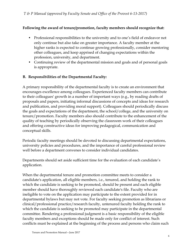#### **Following the award of tenure/promotion, faculty members should recognize that:**

- Professional responsibilities to the university and to one's field of endeavor not only continue but also take on greater importance. A faculty member at the higher ranks is expected to continue growing professionally, consider mentoring other colleagues, and keep apprised of changing expectations within the profession, university, and department.
- Continuing review of the departmental mission and goals and of personal goals is appropriate.

#### **B. Responsibilities of the Departmental Faculty:**

A primary responsibility of the departmental faculty is to create an environment that encourages excellence among colleagues. Experienced faculty members can contribute to their colleagues' growth in a number of important ways (e.g., by reading drafts of proposals and papers, initiating informal discussions of concepts and ideas for research and publication, and providing moral support). Colleagues should periodically discuss the goals and expectations of the department, the school/college, and the university on tenure/promotion. Faculty members also should contribute to the enhancement of the quality of teaching by periodically observing the classroom work of their colleagues and offering constructive ideas for improving pedagogical, communication and conceptual skills.

Periodic faculty meetings should be devoted to discussing departmental expectations, university policies and procedures, and the importance of careful professional review well before a department convenes to consider individual candidates.

Departments should set aside sufficient time for the evaluation of each candidate's application.

When the departmental tenure and promotion committee meets to consider a candidate's application, all eligible members, i.e., tenured, and holding the rank to which the candidate is seeking to be promoted, should be present and each eligible member should have thoroughly reviewed each candidate's file. Faculty who are ineligible to vote on the application may participate to the extent provided for in departmental bylaws but may not vote. For faculty seeking promotion as librarians or clinical/professional practice/research faculty, untenured faculty holding the rank to which the candidate is seeking to be promoted may participate in the departmental committee. Rendering a professional judgment is a basic responsibility of the eligible faculty members and exceptions should be made only for conflict of interest. Such conflicts must be explained at the beginning of the process and persons who claim such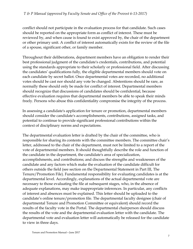conflict should not participate in the evaluation process for that candidate. Such cases should be reported on the appropriate form as conflict of interest. These must be reviewed by, and when cause is found to exist approved by, the chair of the department or other primary unit. A conflict of interest automatically exists for the review of the file of a spouse, significant other, or family member.

Throughout their deliberations, department members have an obligation to render their best professional judgment of the candidate's credentials, contributions, and potential using the standards appropriate to their scholarly or professional field. After discussing the candidates' qualifications fully, the eligible departmental members should vote on each candidate by secret ballot. Once departmental votes are recorded, no additional votes should be cast nor should any vote be changed. Abstentions should be rare, as normally these should only be made for conflict of interest. Departmental members should recognize that discussions of candidates should be confidential, because effective evaluation requires that departmental members be able to speak their minds freely. Persons who abuse this confidentiality compromise the integrity of the process.

In assessing a candidate's application for tenure or promotion, departmental members should consider the candidate's accomplishments, contributions, assigned tasks, and potential to continue to provide significant professional contributions within the context of disciplinary norms and expectations.

The departmental evaluation letter is drafted by the chair of the committee, who is responsible for sharing its contents with the committee members. The committee chair's letter, addressed to the chair of the department, must not be limited to a report of the vote of departmental members. It should thoughtfully describe the role and function of the candidate in the department, the candidate's area of specialization, accomplishments, and contributions; and discuss the strengths and weaknesses of the candidate and any factors which make the evaluation of the candidate difficult for others outside the field (see section on the Departmental Statement in Part III, The Tenure/Promotion File). Fundamental responsibility for evaluating candidates is at the departmental level. Accordingly, explanations of the actual departmental vote are necessary to those evaluating the file at subsequent stages, who, in the absence of adequate explanations, may make inappropriate inferences. In particular, any conflicts of interest and absences must be explained. This letter should be uploaded to the candidate's online tenure/promotion file. The departmental faculty designee (chair of departmental Tenure and Promotion Committee or equivalent) should record the results of the faculty vote in the Portal. The departmental chairperson should discuss the results of the vote and the departmental evaluation letter with the candidate. The departmental vote and evaluation letter will automatically be released for the candidate to view in three days.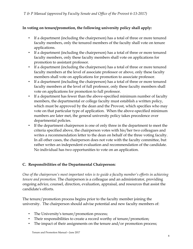#### **In voting on tenure/promotion, the following university policy shall apply:**

- If a department (including the chairperson) has a total of three or more tenured faculty members, only the tenured members of the faculty shall vote on tenure applications.
- If a department (including the chairperson) has a total of three or more tenured faculty members, only these faculty members shall vote on applications for promotion to assistant professor.
- If a department (including the chairperson) has a total of three or more tenured faculty members at the level of associate professor or above, only these faculty members shall vote on applications for promotion to associate professor.
- If a department (including the chairperson) has a total of three or more tenured faculty members at the level of full professor, only these faculty members shall vote on applications for promotion to full professor.
- If a department has fewer than the above-specified minimum number of faculty members, the departmental or college faculty must establish a written policy, which must be approved by the dean and the Provost, which specifies who may vote on that particular type of application. When the above-specified minimum numbers are later met, the general university policy takes precedence over departmental policies.
- If the department chairperson is one of only three in the department to meet the criteria specified above, the chairperson votes with his/her two colleagues and writes a recommendation letter to the dean on behalf of the three voting faculty. In all other cases, the chairperson does not vote with the faculty committee, but rather writes an independent evaluation and recommendation of the candidate. No individual has two opportunities to vote on an application.

### **C. Responsibilities of the Departmental Chairperson:**

*One of the chairperson's most important roles is to guide a faculty member's efforts in achieving tenure and promotion.* The chairperson is a colleague and an administrator, providing ongoing advice, counsel, direction, evaluation, appraisal, and resources that assist the candidate's efforts.

The tenure/promotion process begins prior to the faculty member joining the university. The chairperson should advise potential and new faculty members of:

- The University's tenure/promotion process;
- Their responsibilities to create a record worthy of tenure/promotion;
- The impact of their assignments on the tenure and/or promotion process;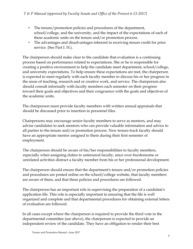- The tenure/promotion policies and procedures of the department, school/college, and the university, and the impact of the expectations of each of these academic units on the tenure and/or promotion process.
- The advantages and disadvantages inherent in receiving tenure credit for prior service. (See Part I. H.).

The chairperson should make clear to the candidate that evaluation is a continuing process based on performance related to expectations. She or he is responsible for creating a positive environment to help the candidate meet department, school/college, and university expectations. To help ensure these expectations are met, the chairperson is expected to meet regularly with each faculty member to discuss his or her progress in the areas of teaching, research and or creative work, and service. The chairperson also should consult informally with faculty members each semester on their progress toward their goals and objectives and their congruence with the goals and objectives of the academic units.

The chairperson must provide faculty members with written annual appraisals that should be discussed prior to insertion in personnel files.

Chairpersons may encourage senior faculty members to serve as mentors, and may advise candidates to seek mentors who can provide valuable information and advice to all parties to the tenure and/or promotion process. New tenure-track faculty should have an appropriate mentor assigned to them during their first semester of employment.

The chairperson should be aware of his/her responsibilities to faculty members, especially when assigning duties to untenured faculty, since over-burdensome or unrelated activities distract a faculty member from his or her professional development.

The chairperson should ensure that the department's tenure and/or promotion policies and procedures are posted online on the school/college website, that faculty members are aware of them, and that these policies and procedures are followed.

The chairperson has an important role in supervising the preparation of a candidate's application file. This role is especially important in ensuring that the file is well organized and complete and that departmental procedures for obtaining external letters of evaluation are followed.

In all cases except where the chairperson is required to provide the third vote in the departmental committee (see above), the chairperson is expected to provide an independent review of the candidate. They have an obligation to render their best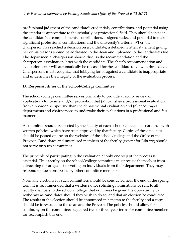professional judgment of the candidate's credentials, contributions, and potential using the standards appropriate to the scholarly or professional field. They should consider the candidate's accomplishments, contributions, assigned tasks, and potential to make significant professional contributions, and the university's criteria. When the chairperson has reached a decision on a candidate, a detailed written statement giving her or his reasons should be addressed to the dean and uploaded to the candidate's file. The departmental chairperson should discuss the recommendation and the chairperson's evaluation letter with the candidate. The chair's recommendation and evaluation letter will automatically be released for the candidate to view in three days. Chairpersons must recognize that lobbying for or against a candidate is inappropriate and undermines the integrity of the evaluation process.

#### **D. Responsibilities of the School/College Committee:**

The school/college committee serves primarily to provide a faculty review of applications for tenure and/or promotion that (a) furnishes a professional evaluation from a broader perspective than the departmental evaluation and (b) encourages departments and chairpersons to undertake their evaluations in a professional and fair manner.

A committee should be elected by the faculty of each school/college in accordance with written policies, which have been approved by that faculty. Copies of these policies should be posted online on the websites of the school/college and the Office of the Provost. Candidates and untenured members of the faculty (except for Library) should not serve on such committees.

The principle of participating in the evaluation at only one step of the process is essential. Thus faculty on the school/college committee must recuse themselves from advocating for or against or voting on individuals from their department. They may respond to questions posed by other committee members.

Normally elections for such committees should be conducted near the end of the spring term. It is recommended that a written notice soliciting nominations be sent to all faculty members in the school/college, that nominees be given the opportunity to withdraw as candidates should they wish to do so, and that an election be conducted. The results of the election should be announced in a memo to the faculty and a copy should be forwarded to the dean and the Provost. The policies should allow for continuity on the committee; staggered two or three-year terms for committee members can accomplish this end.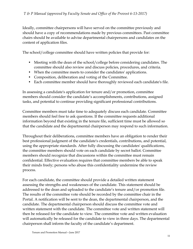Ideally, committee chairpersons will have served on the committee previously and should have a copy of recommendations made by previous committees. Past committee chairs should be available to advise departmental chairpersons and candidates on the content of application files.

The school/college committee should have written policies that provide for:

- Meeting with the dean of the school/college before considering candidates. The committee should also review and discuss policies, procedures, and criteria.
- When the committee meets to consider the candidates' applications.
- Composition, deliberation and voting of the Committee.
- Each committee member should have thoroughly reviewed each candidate's file.

In assessing a candidate's application for tenure and/or promotion, committee members should consider the candidate's accomplishments, contributions, assigned tasks, and potential to continue providing significant professional contributions.

Committee members must take time to adequately discuss each candidate. Committee members should feel free to ask questions. If the committee requests additional information beyond that existing in the tenure file, sufficient time must be allowed so that the candidate and the departmental chairperson may respond to such information.

Throughout their deliberations, committee members have an obligation to render their best professional judgment of the candidate's credentials, contributions, and potential, using the appropriate standards. After fully discussing the candidates' qualifications, the committee members should vote on each candidate by secret ballot. Committee members should recognize that discussions within the committee must remain confidential. Effective evaluation requires that committee members be able to speak their minds freely; persons who abuse this confidentiality undermine the review process.

For each candidate, the committee should provide a detailed written statement assessing the strengths and weaknesses of the candidate. This statement should be addressed to the dean and uploaded to the candidate's tenure and/or promotion file. The results of the committee vote should be recorded by the committee chair in the Portal. A notification will be sent to the dean, the departmental chairperson, and the candidate. The departmental chairperson should discuss the committee vote and written statement with the candidate. The committee vote and written statement will then be released for the candidate to view. The committee vote and written evaluation will automatically be released for the candidate to view in three days. The departmental chairperson shall inform the faculty of the candidate's department.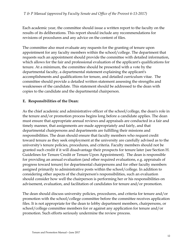Each academic year, the committee should issue a written report to the faculty on the results of its deliberations. This report should include any recommendations for revisions of procedures and any advice on the content of files.

The committee also must evaluate any requests for the granting of tenure upon appointment for any faculty members within the school/college. The department that requests such an appointment should provide the committee with detailed information, which allows for the fair and professional evaluation of the applicant's qualifications for tenure. At a minimum, the committee should be presented with a vote by the departmental faculty, a departmental statement explaining the applicant's accomplishments and qualifications for tenure, and detailed curriculum vitae. The committee should provide a detailed written statement assessing the strengths and weaknesses of the candidate. This statement should be addressed to the dean with copies to the candidate and the departmental chairperson.

#### **E. Responsibilities of the Dean:**

As the chief academic and administrative officer of the school/college, the dean's role in the tenure and/or promotion process begins long before a candidate applies. The dean must ensure that appropriate annual reviews and appraisals are conducted in a fair and timely manner, that assignments are made appropriately and fairly, and that departmental chairpersons and departments are fulfilling their missions and responsibilities. The dean should ensure that faculty members who request credit toward tenure as they seek employment at the university are carefully advised as to the university's tenure policies, procedures, and criteria. Faculty members should not be granted such credit if it will disadvantage their prospects for tenure later (see Section H. Guidelines for Tenure Credit or Tenure Upon Appointment). The dean is responsible for providing an annual evaluation (and other required evaluations, e.g. appraisals of progress toward tenure) for departmental chairpersons and for other faculty members assigned primarily to administrative posts within the school/college. In addition to considering other aspects of the chairperson's responsibilities, such an evaluation should consider how well the chairperson is performing her or his responsibilities on advisement, evaluation, and facilitation of candidates for tenure and/or promotion.

The dean should discuss university policies, procedures, and criteria for tenure and/or promotion with the school/college committee before the committee receives application files. It is not appropriate for the dean to lobby department members, chairpersons, or school/college committee members for or against any application for tenure and/or promotion. Such efforts seriously undermine the review process.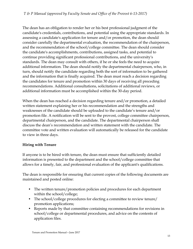The dean has an obligation to render her or his best professional judgment of the candidate's credentials, contributions, and potential using the appropriate standards. In assessing a candidate's application for tenure and/or promotion, the dean should consider carefully the departmental evaluation, the recommendation of the chairperson, and the recommendation of the school/college committee. The dean should consider the candidate's accomplishments, contributions, assigned tasks, and potential to continue providing significant professional contributions, and the university's standards. The dean may consult with others, if he or she feels the need to acquire additional information. The dean should notify the departmental chairperson, who, in turn, should notify the candidate regarding both the sort of information to be gathered and the information that is finally acquired. The dean must reach a decision regarding the candidates for tenure and promotion within 30 days of receiving all preceding recommendations. Additional consultations, solicitations of additional reviews, or additional information must be accomplished within the 30-day period.

When the dean has reached a decision regarding tenure and/or promotion, a detailed written statement explaining her or his recommendation and the strengths and weaknesses of the candidate should be uploaded to the candidate's tenure and/or promotion file. A notification will be sent to the provost, college committee chairperson, departmental chairperson, and the candidate. The departmental chairperson shall discuss the dean's recommendation and written statement with the candidate. The committee vote and written evaluation will automatically be released for the candidate to view in three days.

#### **Hiring with Tenure**

If anyone is to be hired with tenure, the dean must ensure that sufficiently detailed information is presented to the department and the school/college committee that allows for a timely, fair, and professional evaluation of the applicant's qualifications.

The dean is responsible for ensuring that current copies of the following documents are maintained and posted online:

- The written tenure/promotion policies and procedures for each department within the school/college;
- The school/college procedures for electing a committee to review tenure/ promotion applications;
- Reports made by that committee containing recommendations for revisions in school/college or departmental procedures, and advice on the contents of application files.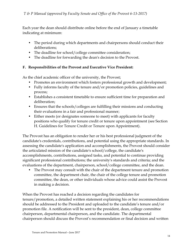Each year the dean should distribute online before the end of January a timetable indicating at minimum:

- The period during which departments and chairpersons should conduct their deliberations;
- The deadline for school/college committee consideration;
- The deadline for forwarding the dean's decision to the Provost.

#### **F. Responsibilities of the Provost and Executive Vice President:**

As the chief academic officer of the university, the Provost;

- Promotes an environment which fosters professional growth and development;
- Fully informs faculty of the tenure and/or promotion policies, guidelines and process;
- Establishes a consistent timetable to ensure sufficient time for preparation and deliberation;
- Ensures that the schools/colleges are fulfilling their missions and conducting their evaluations in a fair and professional manner;
- Either meets (or designates someone to meet) with applicants for faculty positions who qualify for tenure credit or tenure upon appointment (see Section H. Guidelines for Tenure Credit or Tenure upon Appointment).

The Provost has an obligation to render her or his best professional judgment of the candidate's credentials, contributions, and potential using the appropriate standards. In assessing the candidate's application and accomplishments, the Provost should consider the articulated mission of the candidate's school/college, the candidate's accomplishments, contributions, assigned tasks, and potential to continue providing significant professional contributions; the university's standards and criteria; and the evaluations of the department, chairperson, school/college committee, and the dean.

• The Provost may consult with the chair of the department tenure and promotion committee, the department chair, the chair of the college tenure and promotion committee, the dean, or other individuals whose advice could assist the Provost in making a decision.

When the Provost has reached a decision regarding the candidates for tenure/promotion, a detailed written statement explaining his or her recommendations should be addressed to the President and uploaded to the candidate's tenure and/or promotion file. A notification will be sent to the president, dean, college committee chairperson, departmental chairperson, and the candidate. The departmental chairperson should discuss the Provost's recommendation or final decision and written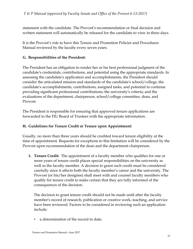statement with the candidate. The Provost's recommendation or final decision and written statement will automatically be released for the candidate to view in three days.

It is the Provost's role to have this Tenure and Promotion Policies and Procedures Manual reviewed by the faculty every seven years.

#### **G. Responsibilities of the President:**

The President has an obligation to render her or his best professional judgment of the candidate's credentials, contributions, and potential using the appropriate standards. In assessing the candidate's application and accomplishments, the President should consider the articulated mission and standards of the candidate's school/college, the candidate's accomplishments, contributions, assigned tasks, and potential to continue providing significant professional contributions; the university's criteria; and the evaluations of the department, chairperson, school/college committee, dean, and Provost.

The President is responsible for ensuring that approved tenure applications are forwarded to the FIU Board of Trustees with the appropriate information.

#### **H. Guidelines for Tenure Credit or Tenure upon Appointment:**

Usually, no more than three years should be credited toward tenure eligibility at the time of appointment. Requests for exceptions to this limitation will be considered by the Provost upon recommendation of the dean and the department chairperson.

**1. Tenure Credit:** The appointment of a faculty member who qualifies for one or more years of tenure credit places special responsibilities on the university as well as the faculty member. A decision to grant such credit must be considered carefully since it affects both the faculty member's career and the university. The Provost (or his/her designee) shall meet with and counsel faculty members who qualify for tenure credit to make certain that they are fully informed of the consequences of the decision.

The decision to grant tenure credit should not be made until after the faculty member's record of research, publication or creative work, teaching, and service have been reviewed. Factors to be considered in reviewing such an application include:

• a determination of the record to date;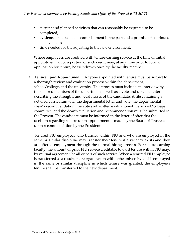- current and planned activities that can reasonably be expected to be completed;
- evidence of sustained accomplishment in the past and a promise of continued achievement;
- time needed for the adjusting to the new environment.

Where employees are credited with tenure-earning service at the time of initial appointment, all or a portion of such credit may, at any time prior to formal application for tenure, be withdrawn once by the faculty member.

**2. Tenure upon Appointment:** Anyone appointed with tenure must be subject to a thorough review and evaluation process within the department, school/college, and the university. This process must include an interview by the tenured members of the department as well as a vote and detailed letter describing the strengths and weaknesses of the candidate. A file containing a detailed curriculum vita, the departmental letter and vote, the departmental chair's recommendation, the vote and written evaluation of the school/college committee, and the dean's evaluation and recommendation must be submitted to the Provost. The candidate must be informed in the letter of offer that the decision regarding tenure upon appointment is made by the Board of Trustees upon recommendation by the President.

Tenured FIU employees who transfer within FIU and who are employed in the same or similar discipline may transfer their tenure if a vacancy exists and they are offered employment through the normal hiring process. For tenure-earning faculty, the amount of prior FIU service creditable toward tenure within FIU may, by mutual agreement, be all or part of such service. When a tenured FIU employee is transferred as a result of a reorganization within the university and is employed in the same or similar discipline in which tenure was granted, the employee's tenure shall be transferred to the new department.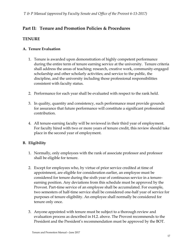# **Part II: Tenure and Promotion Policies & Procedures**

#### **TENURE**

#### **A. Tenure Evaluation**

- 1. Tenure is awarded upon demonstration of highly competent performance during the entire term of tenure earning service at the university. Tenure criteria shall address the areas of teaching; research, creative work, community-engaged scholarship and other scholarly activities; and service to the public, the discipline, and the university including those professional responsibilities consistent with faculty status.
- 2. Performance for each year shall be evaluated with respect to the rank held.
- 3. In quality, quantity and consistency, such performance must provide grounds for assurance that future performance will constitute a significant professional contribution.
- 4. All tenure-earning faculty will be reviewed in their third year of employment. For faculty hired with two or more years of tenure credit, this review should take place in the second year of employment.

#### **B. Eligibility**

- 1. Normally, only employees with the rank of associate professor and professor shall be eligible for tenure.
- 2. Except for employees who, by virtue of prior service credited at time of appointment, are eligible for consideration earlier, an employee must be considered for tenure during the sixth year of continuous service in a tenureearning position. Any deviations from this schedule must be approved by the Provost. Part-time service of an employee shall be accumulated. For example, two semesters of half-time service shall be considered one-half year of service for purposes of tenure eligibility. An employee shall normally be considered for tenure only once.
- 3. Anyone appointed with tenure must be subject to a thorough review and evaluation process as described in H.2. above. The Provost recommends to the President and the President's recommendation must be approved by the BOT.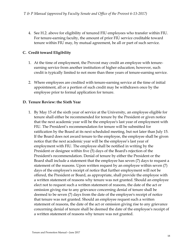4. See H.2. above for eligibility of tenured FIU employees who transfer within FIU. For tenure-earning faculty, the amount of prior FIU service creditable toward tenure within FIU may, by mutual agreement, be all or part of such service.

#### **C. Credit toward Eligibility**

- 1. At the time of employment, the Provost may credit an employee with tenureearning service from another institution of higher education; however, such credit is typically limited to not more than three years of tenure-earning service.
- 2. Where employees are credited with tenure-earning service at the time of initial appointment, all or a portion of such credit may be withdrawn once by the employee prior to formal application for tenure.

#### **D. Tenure Review: the Sixth Year**

1. By May 15 of the sixth year of service at the University, an employee eligible for tenure shall either be recommended for tenure by the President or given notice that the next academic year will be the employee's last year of employment with FIU. The President's recommendation for tenure will be submitted for ratification by the Board at its next scheduled meeting, but not later than July 15. If the Board does not award tenure to the employee, the employee shall be given notice that the next academic year will be the employee's last year of employment with FIU. The employee shall be notified in writing by the President or designee within five (5) days of the Board's rejection of the President's recommendation. Denial of tenure by either the President or the Board shall include a statement that the employee has seven (7) days to request a statement of the reasons. Upon written request by an employee within seven (7) days of the employee's receipt of notice that further employment will not be offered, the President or Board, as appropriate, shall provide the employee with a written statement of reasons why tenure was not granted. Should an employee elect not to request such a written statement of reasons, the date of the act or omission giving rise to any grievance concerning denial of tenure shall be deemed to be seven (7) days from the date of the employee's receipt of notice that tenure was not granted. Should an employee request such a written statement of reasons, the date of the act or omission giving rise to any grievance concerning denial of tenure shall be deemed the date of the employee's receipt of a written statement of reasons why tenure was not granted.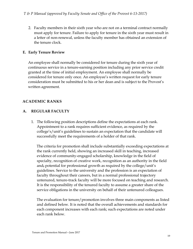2. Faculty members in their sixth year who are not on a terminal contract normally must apply for tenure. Failure to apply for tenure in the sixth year must result in a letter of non-renewal, unless the faculty member has obtained an extension of the tenure clock.

#### **E. Early Tenure Review**

An employee shall normally be considered for tenure during the sixth year of continuous service in a tenure-earning position including any prior service credit granted at the time of initial employment. An employee shall normally be considered for tenure only once. An employee's written request for early tenure consideration must be submitted to his or her dean and is subject to the Provost's written agreement.

#### **ACADEMIC RANKS**

#### **A. REGULAR FACULTY**

1. The following position descriptions define the expectations at each rank. Appointment to a rank requires sufficient evidence, as required by the college's/unit's guidelines to sustain an expectation that the candidate will successfully meet the requirements of a holder of that rank.

The criteria for promotion shall include substantially exceeding expectations at the rank currently held, showing an increased skill in teaching, increased evidence of community-engaged scholarship, knowledge in the field of specialty, recognition of creative work, recognition as an authority in the field and, potential for professional growth as required by the college/unit's guidelines. Service to the university and the profession is an expectation of faculty throughout their careers, but in a normal professional trajectory untenured, tenure-track faculty will be more focused on teaching and research. It is the responsibility of the tenured faculty to assume a greater share of the service obligations in the university on behalf of their untenured colleagues.

The evaluation for tenure/promotion involves three main components as listed and defined below. It is noted that the overall achievements and standards for each component increases with each rank; such expectations are noted under each rank below.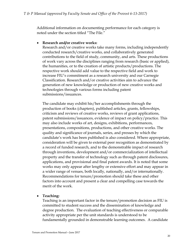Additional information on documenting performance for each category is noted under the section titled "The File."

#### **Research and/or creative works:**

Research and/or creative works take many forms, including independently conducted research/creative works, and collaboratively generated contributions to the field of study, community, and arts. These productions of work vary across the disciplines ranging from research (basic or applied), the humanities, or to the creation of artistic products/productions. The respective work should add value to the respective field and work to increase FIU's commitment as a research university and our Carnegie Classification. Research and/or creative activities aim to advance the generation of new knowledge or production of new creative works and technologies through various forms including patent submissions/issuances.

The candidate may exhibit his/her accomplishments through the production of books (chapters), published articles, grants, fellowships, criticism and reviews of creative works, reviews of grant applications, patent submissions/issuances, evidence of impact on policy/practice. This may also include works of art, designs, exhibitions, performances, presentations, compositions, productions, and other creative works. The quality and significance of journals, series, and presses by which the candidate's work has been published is also considered. Where appropriate, consideration will be given to external peer recognition as demonstrated by a record of funded research, and to the demonstrable impact of research through inventions, development and/or commercialization of intellectual property and the transfer of technology such as through patent disclosures, applications, and provisional and final patent awards. It is noted that some works may only appear after lengthy or extensive effort and may appear in a wider range of venues, both locally, nationally, and/or internationally. Recommendations for tenure/promotion should take these and other factors into account and present a clear and compelling case towards the merit of the work.

#### **Teaching:**

Teaching is an important factor in the tenure/promotion decision as FIU is committed to student success and the dissemination of knowledge and degree production. The evaluation of teaching effectiveness or comparable activity appropriate per the unit standards is understood to be fundamentally grounded in demonstrable learning outcomes. A candidate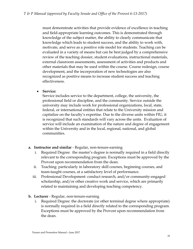must demonstrate activities that provide evidence of excellence in teaching and field-appropriate learning outcomes. This is demonstrated through knowledge of the subject matter, the ability to clearly communicate that knowledge which leads to student success, and the ability to work with, motivate, and serve as a positive role model for students. Teaching can be evaluated in a variety of means but can be best judged by a comprehensive review of the teaching dossier, student evaluations, instructional materials, external classroom assessments, assessment of activities and products and other materials that may be used within the course. Course redesign, course development, and the incorporation of new technologies are also recognized as positive means to increase student success and teaching effectiveness.

**Service:** 

Service includes service to the department, college, the university, the professional field or discipline, and the community. Service outside the university may include work for professional organizations, local, state, federal, or international entities that relate to the University mission and capitalize on the faculty's expertise. Due to the diverse units within FIU, it is recognized that such standards will vary across the units. Evaluation of service will include an examination of the nature and degree of engagement within the University and in the local, regional, national, and global communities.

#### **a. Instructor and similar** - Regular, non-tenure-earning

- i. Required Degree: the master's degree is normally required in a field directly relevant to the corresponding program. Exceptions must be approved by the Provost upon recommendation from the dean.
- ii. Teaching: particularly in laboratory skill courses, beginning courses, and team-taught courses, at a satisfactory level of performance.
- iii. Professional Development: conduct research, and/or community-engaged scholarship, and/or other creative work and service, which are primarily related to maintaining and developing teaching competency.
- **b. Lecturer** Regular, non-tenure-earning
	- i. Required Degree: the doctorate (or other terminal degree where appropriate) is normally required in a field directly related to the corresponding program. Exceptions must be approved by the Provost upon recommendation from the dean.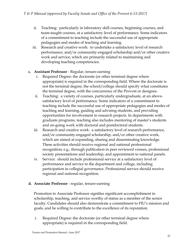- ii. Teaching: particularly in laboratory skill courses, beginning courses, and team-taught courses, at a satisfactory level of performance. Some indicators of a commitment to teaching include the successful use of appropriate pedagogies and modes of teaching and learning.
- iii. Research and creative work: to undertake a satisfactory level of research performance, and/or community-engaged scholarship and/or other creative work and service, which are primarily related to maintaining and developing teaching competencies.

#### **c. Assistant Professor** - Regular, tenure-earning

- i. Required Degree: the doctorate (or other terminal degree where appropriate) is required in the corresponding field. Where the doctorate is not the terminal degree, the school/college should specify what constitutes the terminal degree, with the concurrence of the Provost or designee.
- ii. Teaching: a variety of courses, particularly undergraduate, at an abovesatisfactory level of performance. Some indicators of a commitment to teaching include the successful use of appropriate pedagogies and modes of teaching and learning, guiding and advising students, and providing opportunities for involvement in research projects. In departments with graduate programs, teaching also includes mentoring of master's students and on-going work with doctoral and postdoctoral students.
- iii. Research and creative work: a satisfactory level of research performance, and/or community-engaged scholarship, and/or other creative work, which are aimed at expanding, sharing and disseminating knowledge. These activities should receive regional and national professional recognition; e.g., through publication in peer reviewed venues, professional society presentations and leadership, and appointment to national panels.
- iv. Service: should include professional service at a satisfactory level of performance and service to the department and college, including participation in collegial governance. Professional service should receive regional and national recognition.

#### **d. Associate Professor** - regular, tenure-earning

Promotion to Associate Professor signifies significant accomplishment in scholarship, teaching, and service worthy of status as a member of the senior faculty. Candidates should also demonstrate a commitment to FIU's mission and goals, and be willing to contribute to the excellence of its reputation.

i. Required Degree: the doctorate (or other terminal degree where appropriate) is required in the corresponding field.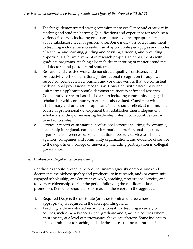- ii. Teaching: demonstrated strong commitment to excellence and creativity in teaching and student learning. Qualifications and experience for teaching a variety of courses, including graduate courses where appropriate, at an above satisfactory level of performance. Some indicators of a commitment to teaching include the successful use of appropriate pedagogies and modes of teaching and learning, guiding and advising students, and providing opportunities for involvement in research projects. In departments with graduate programs, teaching also includes mentoring of master's students and doctoral and postdoctoral students.
- iii. Research and creative work: demonstrated quality, consistency, and productivity, achieving national/international recognition through wellrespected, peer-reviewed journals and/or other venues that are consistent with national professional recognition. Consistent with disciplinary and unit norms, applicants should demonstrate success at funded research. Collaborative or team-based scholarship including community-engaged scholarship with community partners is also valued. Consistent with disciplinary and unit norms, applicants' files should reflect, at minimum, a course of professional development that establishes their independent scholarly standing or increasing leadership roles in collaborative/teambased scholarship.
- iv. Service: a record of substantial professional service including, for example, leadership in regional, national or international professional societies, organizing conferences, serving on editorial boards; service to schools, agencies, companies and community organizations; and evidence of service to the department, college or university, including participation in collegial governance.

#### **e. Professor** - Regular, tenure-earning

Candidates should present a record that unambiguously demonstrates and documents the highest quality and productivity in research, and/or community engaged scholarship, and/or creative work, teaching, professional service, and university citizenship, during the period following the candidate's last promotion. Reference should also be made to the record in the aggregate.

- i. Required Degree: the doctorate (or other terminal degree where appropriate) is required in the corresponding field.
- ii. Teaching: a demonstrated record of successfully teaching a variety of courses, including advanced undergraduate and graduate courses where appropriate, at a level of performance above-satisfactory. Some indicators of a commitment to teaching include the successful incorporation of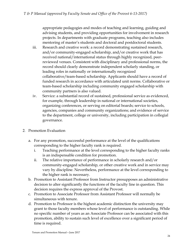appropriate pedagogies and modes of teaching and learning, guiding and advising students, and providing opportunities for involvement in research projects. In departments with graduate programs, teaching also includes mentoring of master's students and doctoral and postdoctoral students.

- iii. Research and creative work: a record demonstrating sustained research, and/or community-engaged scholarship, and/or creative work that has received national/international status through highly recognized, peerreviewed venues. Consistent with disciplinary and professional norms, the record should clearly demonstrate independent scholarly standing, or leading roles in nationally or internationally recognized collaborative/team-based scholarship. Applicants should have a record of funded research in accordance with articulated unit norms. Collaborative or team-based scholarship including community engaged scholarship with community partners is also valued.
- iv. Service: a substantial record of sustained, professional service as evidenced, for example, through leadership in national or international societies, organizing conferences, or serving on editorial boards; service to schools, agencies, companies and community organizations; and evidence of service to the department, college or university, including participation in collegial governance.
- 2. Promotion Evaluation
	- a. For any promotion, successful performance at the level of the qualifications corresponding to the higher faculty rank is required.
		- i. Teaching performance at the level corresponding to the higher faculty ranks is an indispensable condition for promotion.
		- ii. The relative importance of performance in scholarly research and/or community-engaged scholarship, or other creative work and in service may vary by discipline. Nevertheless, performance at the level corresponding to the higher rank is necessary.
	- b. Promotion to Assistant Professor from Instructor presupposes an administrative decision to alter significantly the functions of the faculty line in question. This decision requires the express approval of the Provost.
	- c. Promotion to Associate Professor from Assistant Professor will normally be simultaneous with tenure.
	- d. Promotion to Professor is the highest academic distinction the university may grant to those faculty members whose level of performance is outstanding. While no specific number of years as an Associate Professor can be associated with this promotion, ability to sustain such level of excellence over a significant period of time is required.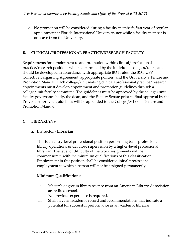e. No promotion will be considered during a faculty member's first year of regular appointment at Florida International University, nor while a faculty member is on leave from the University.

#### **B. CLINICAL/PROFESSIONAL PRACTICE/RESEARCH FACULTY**

Requirements for appointment to and promotion within clinical/professional practice/research positions will be determined by the individual colleges/units, and should be developed in accordance with appropriate BOT rules, the BOT-UFF Collective Bargaining Agreement, appropriate policies, and the University's Tenure and Promotion Manual. Each college/unit making clinical/professional practice/research appointments must develop appointment and promotion guidelines through a college/unit faculty committee. The guidelines must be approved by the college/unit faculty governance body, the dean, and the Faculty Senate prior to final approval by the Provost. Approved guidelines will be appended to the College/School's Tenure and Promotion Manual.

#### **C. LIBRARIANS**

#### **a. Instructor - Librarian**

This is an entry-level professional position performing basic professional library operations under close supervision by a higher-level professional librarian. The level of difficulty of the work assignments will be commensurate with the minimum qualifications of this classification. Employment in this position shall be considered initial professional employment to which a person will not be assigned permanently.

#### **Minimum Qualifications**:

- i. Master's degree in library science from an American Library Association accredited school.
- ii. No previous experience is required.
- iii. Shall have an academic record and recommendations that indicate a potential for successful performance as an academic librarian.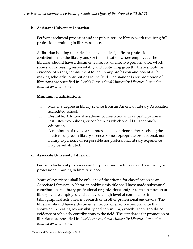#### **b. Assistant University Librarian**

Performs technical processes and/or public service library work requiring full professional training in library science.

A librarian holding this title shall have made significant professional contributions to the library and/or the institution where employed. The librarian should have a documented record of effective performance, which shows an increasing responsibility and continuing growth. There should be evidence of strong commitment to the library profession and potential for making scholarly contributions to the field. The standards for promotion of librarians are specified in *Florida International University Libraries Promotion Manual for Librarians*

#### **Minimum Qualifications:**

- i. Master's degree in library science from an American Library Association accredited school.
- ii. Desirable: Additional academic course work and/or participation in institutes, workshops, or conferences which would further one's education.
- iii. A minimum of two years' professional experience after receiving the master's degree in library science. Some appropriate professional, nonlibrary experience or responsible nonprofessional library experience may be substituted.

#### **c. Associate University Librarian**

Performs technical processes and/or public service library work requiring full professional training in library science.

Years of experience shall be only one of the criteria for classification as an Associate Librarian. A librarian holding this title shall have made substantial contributions to library professional organizations and/or to the institution or library where employed and achieved a high level of competence in bibliographical activities, in research or in other professional endeavors. The librarian should have a documented record of effective performance that shows an increasing responsibility and continuing growth. There should be evidence of scholarly contributions to the field. The standards for promotion of librarians are specified in *Florida International University Libraries Promotion Manual for Librarians.*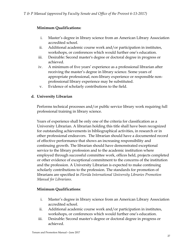#### **Minimum Qualifications:**

- i. Master's degree in library science from an American Library Association accredited school.
- ii. Additional academic course work and/or participation in institutes, workshops, or conferences which would further one's education.
- iii. Desirable: Second master's degree or doctoral degree in progress or achieved.
- iv. A minimum of five years' experience as a professional librarian after receiving the master's degree in library science. Some years of appropriate professional, non-library experience or responsible nonprofessional library experience may be substituted.
- v. Evidence of scholarly contributions to the field.

#### **d. University Librarian**

Performs technical processes and/or public service library work requiring full professional training in library science.

Years of experience shall be only one of the criteria for classification as a University Librarian. A librarian holding this title shall have been recognized for outstanding achievements in bibliographical activities, in research or in other professional endeavors. The librarian should have a documented record of effective performance that shows an increasing responsibility and continuing growth. The librarian should have demonstrated exceptional service to the library profession and to the academic institution where employed through successful committee work, offices held, projects completed or other evidence of exceptional commitment to the concerns of the institution and the profession. A University Librarian is expected to make continuing scholarly contributions to the profession. The standards for promotion of librarians are specified in *Florida International University Libraries Promotion Manual for Librarians.* 

#### **Minimum Qualifications**:

- i. Master's degree in library science from an American Library Association accredited school.
- ii. Additional academic course work and/or participation in institutes, workshops, or conferences which would further one's education.
- iii. Desirable: Second master's degree or doctoral degree in progress or achieved.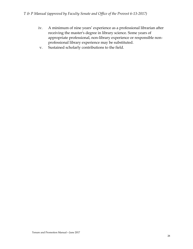- iv. A minimum of nine years' experience as a professional librarian after receiving the master's degree in library science. Some years of appropriate professional, non-library experience or responsible nonprofessional library experience may be substituted.
- v. Sustained scholarly contributions to the field.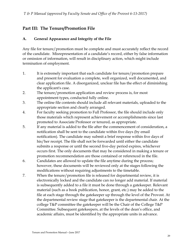# **Part III: The Tenure/Promotion File**

#### **A. General Appearance and Integrity of the File**

Any file for tenure/promotion must be complete and must accurately reflect the record of the candidate. Misrepresentation of a candidate's record, either by false information or omission of information, will result in disciplinary action, which might include termination of employment.

- 1. It is extremely important that each candidate for tenure/promotion prepare and present for evaluation a complete, well organized, well documented, and clear application file. A disorganized, unclear file has the effect of diminishing the applicant's case.
- 2. The tenure/promotion application and review process is, for most appointment types, conducted fully online.
- 3. The online file contents should include all relevant materials, uploaded to the appropriate section and clearly arranged.
- 4. For faculty seeking promotion to Full Professor, the file should include only those materials which represent achievement or accomplishments since last promoted to Associate Professor or tenured, as appropriate.
- 5. If any material is added to the file after the commencement of consideration, a notification shall be sent to the candidate within five days (by email notification). The candidate may submit a brief response within five days of his/her receipt. The file shall not be forwarded until either the candidate submits a response or until the second five-day period expires, whichever occurs first. The only documents that may be considered in making a tenure or promotion recommendation are those contained or referenced in the file.
- 6. Candidates are allowed to update the file anytime during the process; however, these documents will be reviewed only at the stages following the modifications without requiring adjustments to the timetable.
- 7. When the tenure/promotion file is released for departmental review, it is electronically locked and the candidate can no longer add material. If material is subsequently added to a file it must be done through a gatekeeper. Relevant material (such as a book publication, honor, grant, etc.) may be added to the file at each stage through the gatekeeper up through the level of the Provost. At the departmental review stage that gatekeeper is the departmental chair. At the college T&P committee the gatekeeper will be the Chair of the College T&P Committee. Subsequent gatekeepers, at the levels of the dean's office, and academic affairs, must be identified by the appropriate units in advance.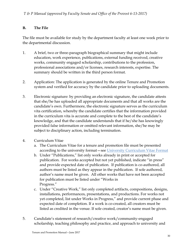#### **B. The File**

The file must be available for study by the department faculty at least one week prior to the departmental discussion.

- 1. A brief, two or three-paragraph biographical summary that might include education, work experience, publications, external funding received, creative works, community engaged scholarship, contributions to the profession, professional associations and/or licenses, research interests, expertise. The summary should be written in the third person format.
- 2. Application: The application is generated by the online Tenure and Promotion system and verified for accuracy by the candidate prior to uploading documents.
- 3. Electronic signature: by providing an electronic signature, the candidate attests that she/he has uploaded all appropriate documents and that all works are the candidate's own. Furthermore, the electronic signature serves as the curriculum vita certification, whereby the candidate certifies that the information provided in the curriculum vita is accurate and complete to the best of the candidate's knowledge, and that the candidate understands that if he/she has knowingly provided false information or omitted relevant information, she/he may be subject to disciplinary action, including termination.
- 4. Curriculum Vitae
	- a. The Curriculum Vitae for a tenure and promotion file must be presented according to the university format—see University Curriculum Vitae Format
	- b. Under "Publications," list only works already in print or accepted for publication. For works accepted but not yet published, indicate "in press" and provide expected date of publication. If publication is co-authored, all authors must be listed as they appear in the publication. If sole authored, author's name must be given. All other works that have not been accepted for publication must be listed under "Works in Progress."
	- c. Under "Creative Work," list only completed artifacts, compositions, designs, installations, performances, presentations, and productions. For works not yet completed, list under Works in Progress," and provide current phase and expected date of completion. If a work is co-created, all creators must be listed as credited in the venue. If sole created, creator's name must be given.
- 5. Candidate's statement of research/creative work/community-engaged scholarship, teaching philosophy and practice, and approach to university and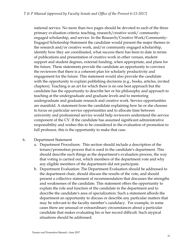national service. No more than two pages should be devoted to each of the three primary evaluation criteria: teaching, research/creative work/ communityengaged scholarship, and service. In the Research/Creative Work/Community-Engaged Scholarship Statement the candidate would present the major themes in the research and/or creative work, and/or community engaged scholarship, identify how they are coordinated, what success there has been to date in terms of publications and presentation of creative work in other venues, student support and student degrees, external funding, when appropriate, and plans for the future. These statements provide the candidate an opportunity to convince the reviewers that there is a coherent plan for scholarly productivity and engagement for the future. This statement would also provide the candidate with the opportunity to explain publishing decisions (e.g., books, articles, invited chapters). Teaching is an art for which there is no one best approach but the candidate has the opportunity to describe her or his philosophy and approach to teaching at the undergraduate and graduate levels and to mentoring undergraduate and graduate research and creative work. Service opportunities are manifold. A statement from the candidate explaining how he or she chooses to focus on particular service opportunities and to allocate time between university and professional service would help reviewers understand the service component of the CV. If the candidate has assumed significant administrative responsibility and wishes this to be considered in the evaluation of promotion to full professor, this is the opportunity to make that case.

#### 6. Department Statement

- a. Department Procedures: This section should include a description of the tenure/promotion process that is used in the candidate's department. This should describe such things as the department's evaluation process, the way that voting is carried out, which members of the department vote and why any eligible members of the department did not participate.
- b. Department Evaluation: The Department Evaluation should be addressed to the department chair, should discuss the results of the vote, and should present a collective statement of recommendation that discusses the strengths and weaknesses of the candidate. This statement offers the opportunity to explain the role and function of the candidate in the department and to describe the candidate's area of specialization. Such a statement affords the department an opportunity to discuss or describe any particular matters that may be relevant to the faculty member's candidacy. For example, in some cases there are unusual or extraordinary circumstances about a particular candidate that makes evaluating his or her record difficult. Such atypical situations should be addressed.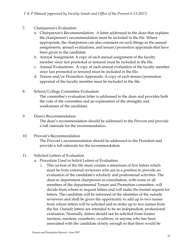- 7. Chairperson's Evaluation
	- a. Chairperson's Recommendation: A letter addressed to the dean that explains the chairperson's recommendation must be included in the file. Where appropriate, the chairperson can also comment on such things as the annual assignments, annual evaluations, and tenure/promotion appraisals that have been given to the candidate.
	- b. Annual Assignment: A copy of each annual assignment of the faculty member since last promoted or tenured must be included in the file.
	- c. Annual Evaluations: A copy of each annual evaluation of the faculty member since last promoted or tenured must be included in the file.
	- d. Tenure and/or Promotion Appraisals: A copy of each tenure/promotion appraisal of the faculty member must be included in the file.
- 8. School/College Committee Evaluation

The committee's evaluation letter is addressed to the dean and provides both the vote of the committee and an explanation of the strengths and weaknesses of the candidate.

#### 9. Dean's Recommendation

The dean's recommendation should be addressed to the Provost and provide a full rationale for the recommendation.

10. Provost's Recommendation The Provost's recommendation should be addressed to the President and provide a full rationale for the recommendation.

#### 11. Solicited Letters of Evaluation

- a. Procedure Used to Solicit Letters of Evaluation
	- i. This section of the file must contain a minimum of five letters which must be from external reviewers who are in a position to provide an evaluation of the candidate's scholarly and professional activities. The dean or department chairperson in consultation, with some or all members of the departmental Tenure and Promotion committee, will decide from whom to request letters and will make the formal request for letters. The candidate will be informed of the identities of the outside reviewers and shall be given the opportunity to add up to two names from whom letters will be solicited and to strike up to two names from the list. Outside letters are intended to be an independent, professional evaluation. Normally, letters should not be solicited from former mentors, mentees, coauthors, co-editors, or anyone who has been associated with the candidate closely enough so that there would be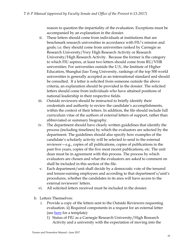reason to question the impartiality of the evaluation. Exceptions must be accompanied by an explanation in the dossier.

- ii. These letters should come from individuals at institutions that are benchmark research universities in accordance with FIU's mission and goals; i.e. they should come from universities ranked by Carnegie as Research University/Very High Research Activity or Research University/High Research Activity. Because the former is the category to which FIU aspires, at least two letters should come from RU/VHR universities. For universities outside the U.S., the Institute of Higher Education, Shanghai Jiao Tong University, rankings of the top 500 world universities is generally accepted as an international standard and should be consulted. If a letter is solicited from someone outside the above criteria, an explanation should be provided in the dossier. The solicited letters should come from individuals who have attained positions of national leadership in their respective fields.
- iii. Outside reviewers should be instructed to briefly identify their credentials and authority to review the candidate's accomplishments, within the context of their letters. In addition, the file should include full curriculum vitae of the authors of external letters of support, rather than abbreviated or summary biography.
- iv. The department should have clearly written guidelines that identify the process (including timelines) by which the evaluators are selected by the department. The guidelines should also specify how examples of the candidate's scholarly activity will be selected to send to the external reviewer—e.g., copies of all publications, copies of publications in the past five years, copies of the five most recent publications, etc. The unit dean must be in agreement with this process. The process by which evaluators are chosen and what the evaluators are asked to comment on shall be included in this section of the file.
- v. Each department/unit shall decide by a democratic vote of the tenured and tenure-earning employees and according to that department's/unit's procedures, whether the candidates in its area will have access to the external reviewers' letters.
- vi. All solicited letters received must be included in the dossier.
- b. Letters Themselves:
	- i. Provide a copy of the letters sent to the Outside Reviewers requesting evaluation. ii) Required components in a request for an external letter (see here for a template):
		- 1) Status of FIU as a Carnegie Research University/High Research Activity and a university with the expectation of moving into the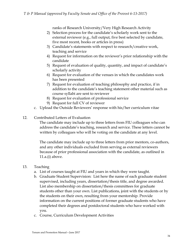ranks of Research University/Very High Research Activity

- 2) Selection process for the candidate's scholarly work sent to the external reviewer (e.g., full output, five best selected by candidate, five most recent, books or articles in press)
- 3) Candidate's statements with respect to research/creative work, teaching and service
- 4) Request for information on the reviewer's prior relationship with the candidate
- 5) Request of evaluation of quality, quantity, and impact of candidate's scholarly activity
- 6) Request for evaluation of the venues in which the candidates work has been presented
- 7) Request for evaluation of teaching philosophy and practice, if in addition to the candidate's teaching statement other material such as course syllabi are sent to reviewer
- 8) Request for evaluation of professional service
- 9) Request for full CV of reviewer
- c. Upload the Outside Reviewers' response with his/her curriculum vitae
- 12. Contributed Letters of Evaluation

The candidate may include up to three letters from FIU colleagues who can address the candidate's teaching, research and service. These letters cannot be written by colleagues who will be voting on the candidate at any level.

The candidate may include up to three letters from prior mentors, co-authors, and any other individuals excluded from serving as external reviewers because of prior professional association with the candidate, as outlined in 11.a.(i) above.

#### 13. Teaching

- a. List of courses taught at FIU and years in which they were taught.
- b. Graduate Student Supervision: List here the name of each graduate student supervised, including years, dissertation/thesis title, and degree awarded. List also membership on dissertation/thesis committees for graduate students other than your own. List publications, joint with the students or by the students on their own, resulting from your mentorship. Provide information on the current positions of former graduate students who have completed their degrees and postdoctoral students who have worked with you.
- c. Course, Curriculum Development Activities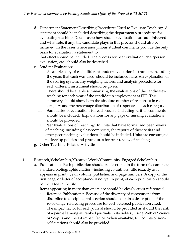- d. Department Statement Describing Procedures Used to Evaluate Teaching: A statement should be included describing the department's procedures for evaluating teaching. Details as to how student evaluations are administered and what role, if any, the candidate plays in this process should also be included. In the cases where anonymous student comments provide the only basis for evaluation, a statement to that effect should be included. The process for peer evaluation, chairperson evaluation, etc., should also be described.
- e. Student Evaluations
	- i. A sample copy of each different student evaluation instrument, including the years that each was used, should be included here. An explanation of the scoring system, any weighing factors, and analysis procedure for each different instrument should be given.
	- ii. There should be a table summarizing the evaluations of the candidate's teaching for each year of the candidate's employment at FIU. This summary should show both the absolute number of responses in each category and the percentage distribution of responses in each category.
	- iii. Summaries of evaluations for each course, including written comments, should be included. Explanations for any gaps or missing evaluations should be provided.
	- f. Peer Evaluations of Teaching: In units that have formalized peer review of teaching, including classroom visits, the reports of these visits and other peer teaching evaluations should be included. Units are encouraged to develop policies and procedures for peer review of teaching.
- g. Other Teaching-Related Activities
- 14. Research/Scholarship/Creative Work/Community-Engaged Scholarship
	- a. Publications: Each publication should be described in the form of a complete, standard bibliographic citation--including co-authors, title (exactly as it appears in print), year, volume, publisher, and page numbers. A copy of the first page, or letter of acceptance if not yet in print, of each publication should be included in the file.

Items appearing in more than one place should be clearly cross-referenced.

i. Refereed Publications: Because of the diversity of conventions from discipline to discipline, this section should contain a description of the reviewing/ refereeing procedure for each refereed publication cited. The impact factor for each journal should be provided as should the rank of a journal among all ranked journals in its field(s), using Web of Science or Scopus and the ISI impact factor. When available, full counts of nonself-citations should also be provided.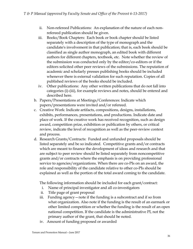- ii. Non-refereed Publications: An explanation of the nature of each nonrefereed publication should be given.
- iii. Books/Book Chapters: Each book or book chapter should be listed separately with a description of the type of monograph and the candidate's involvement in that publication; that is, each book should be classified as single author monograph, an edited book with different authors for different chapters, textbook, etc. Note whether the review of the submission was conducted only by the editor/co-editors or if the editors solicited other peer reviews of the submissions. The reputation of academic and scholarly presses publishing books should be included whenever there is external validation for such reputation. Copies of all published reviews of the books should be included.
- iv. Other publications: Any other written publications that do not fall into categories (i)-(iii), for example reviews and notes, should be entered and described here.
- b. Papers/Presentations at Meetings/Conferences: Indicate which papers/presentations were invited and/or refereed.
- c. Creative Work: Indicate artifacts, compositions, designs, installations, exhibits, performances, presentations, and productions. Indicate date and place of work. If the creative work has received recognition, such as design award, competition prize, exhibition or publication by others, or critical review, indicate the level of recognition as well as the peer-review context and process.
- d. Research Grants/Contracts: Funded and unfunded proposals should be listed separately and be so indicated. Competitive grants and/or contracts which are meant to finance the development of ideas and research and that are subject to peer review should be listed separately from noncompetitive grants and/or contracts where the emphasis is on providing professional service to agencies/organizations. When there are co-PIs on an award, the role and responsibility of the candidate relative to other co-PIs should be explained as well as the portion of the total award coming to the candidate.

The following information should be included for each grant/contract:

- i. Name of principal investigator and all co-investigators
- ii. Title page of grant proposal
- iii. Funding agency—note if the funding is a subcontract and if so from what organization. Also note if the funding is the result of an earmark or other limited competition or whether the funding is the result of an open national competition. If the candidate is the administrative PI, not the primary author of the grant, that should be noted.
- iv. Amount of funding proposed or awarded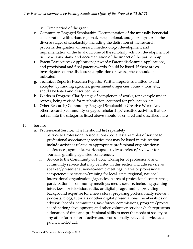- v. Time period of the grant
- e. Community-Engaged Scholarship: Documentation of the mutually beneficial collaboration with urban, regional, state, national, and global groups in the diverse stages of scholarship, including the definition of the research problem, designation of research methodology, development and implementation of the final outcome of the scholarly activity, development of future actions plans, and documentation of the impact of the partnership.
- f. Patent Disclosures/Applications/Awards: Patent disclosures, applications, and provisional and final patent awards should be listed. If there are coinvestigators on the disclosure, application or award, these should be indicated.
- g. Technical Reports/Research Reports: Written reports submitted to and accepted by funding agencies, governmental agencies, foundations, etc., should be listed and described here.
- h. Works in Progress: Clarify stage of completion of works, for example under review, being revised for resubmission, accepted for publication, etc.
- i. Other Research/Community-Engaged Scholarship/Creative Work: Any other research/community-engaged scholarship/ creative activities that do not fall into the categories listed above should be entered and described here.

#### 15. Service

- a. Professional Service: The file should list separately
	- i. Service to Professional Associations/Societies: Examples of service to professional associations/societies that may be listed in this section include activities related to appropriate professional organizations; conferences, symposia, workshops; activity as referee/reviewer for journals, granting agencies, conferences.
	- ii. Service to the Community or Public: Examples of professional and community service that may be listed in this section include service as speaker/presenter at non-academic meetings in area of professional competence; instruction/training for local, state, regional, national, international organizations/agencies in area of professional competence; participation in community meetings; media service, including granting interviews for television, radio, or digital programming; providing background expertise for a news story; preparing professionally relevant podcasts, blogs, tutorials or other digital presentations; memberships on advisory boards, committees, task forces, commissions, program/project coordination/development; and other volunteer service which represents a donation of time and professional skills to meet the needs of society or any other forms of productive and professionally-relevant service as a public intellectual.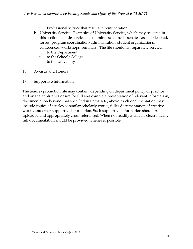- iii. Professional service that results in remuneration.
- b. University Service: Examples of University Service, which may be listed in this section include service on committees; councils; senates; assemblies; task forces; program coordination/administration; student organizations; conferences, workshops, seminars. The file should list separately service:
	- i. to the Department
	- ii. to the School/College
	- iii. to the University
- 16. Awards and Honors
- 17. Supportive Information.

The tenure/promotion file may contain, depending on department policy or practice and on the applicant's desire for full and complete presentation of relevant information, documentation beyond that specified in Items 1-16, above. Such documentation may include copies of articles or similar scholarly works, fuller documentation of creative works, and other supportive information. Such supportive information should be uploaded and appropriately cross-referenced. When not readily available electronically, full documentation should be provided whenever possible.